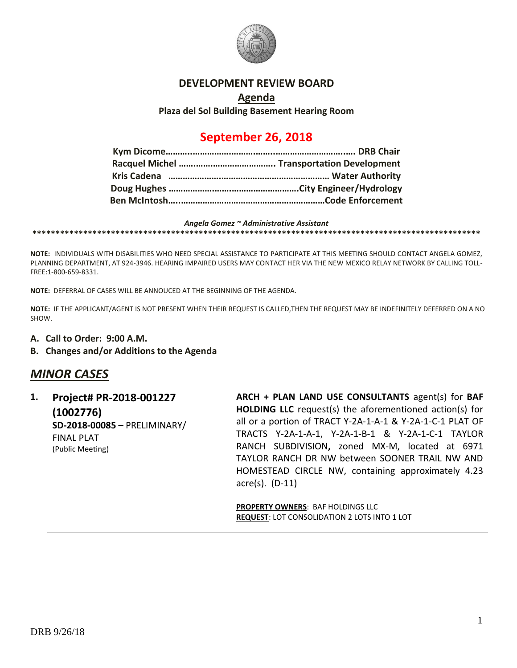

## **DEVELOPMENT REVIEW BOARD**

## **Agenda Plaza del Sol Building Basement Hearing Room**

# **September 26, 2018**

#### *Angela Gomez ~ Administrative Assistant*

**\*\*\*\*\*\*\*\*\*\*\*\*\*\*\*\*\*\*\*\*\*\*\*\*\*\*\*\*\*\*\*\*\*\*\*\*\*\*\*\*\*\*\*\*\*\*\*\*\*\*\*\*\*\*\*\*\*\*\*\*\*\*\*\*\*\*\*\*\*\*\*\*\*\*\*\*\*\*\*\*\*\*\*\*\*\*\*\*\*\*\*\*\*\*\*\*\***

**NOTE:** INDIVIDUALS WITH DISABILITIES WHO NEED SPECIAL ASSISTANCE TO PARTICIPATE AT THIS MEETING SHOULD CONTACT ANGELA GOMEZ, PLANNING DEPARTMENT, AT 924-3946. HEARING IMPAIRED USERS MAY CONTACT HER VIA THE NEW MEXICO RELAY NETWORK BY CALLING TOLL-FREE:1-800-659-8331.

**NOTE:** DEFERRAL OF CASES WILL BE ANNOUCED AT THE BEGINNING OF THE AGENDA.

**NOTE:** IF THE APPLICANT/AGENT IS NOT PRESENT WHEN THEIR REQUEST IS CALLED,THEN THE REQUEST MAY BE INDEFINITELY DEFERRED ON A NO SHOW.

- **A. Call to Order: 9:00 A.M.**
- **B. Changes and/or Additions to the Agenda**

# *MINOR CASES*

**1. Project# PR-2018-001227 (1002776) SD-2018-00085 –** PRELIMINARY/ FINAL PLAT (Public Meeting)

**ARCH + PLAN LAND USE CONSULTANTS** agent(s) for **BAF HOLDING LLC** request(s) the aforementioned action(s) for all or a portion of TRACT Y-2A-1-A-1 & Y-2A-1-C-1 PLAT OF TRACTS Y-2A-1-A-1, Y-2A-1-B-1 & Y-2A-1-C-1 TAYLOR RANCH SUBDIVISION**,** zoned MX-M, located at 6971 TAYLOR RANCH DR NW between SOONER TRAIL NW AND HOMESTEAD CIRCLE NW, containing approximately 4.23 acre(s). (D-11)

**PROPERTY OWNERS**: BAF HOLDINGS LLC **REQUEST**: LOT CONSOLIDATION 2 LOTS INTO 1 LOT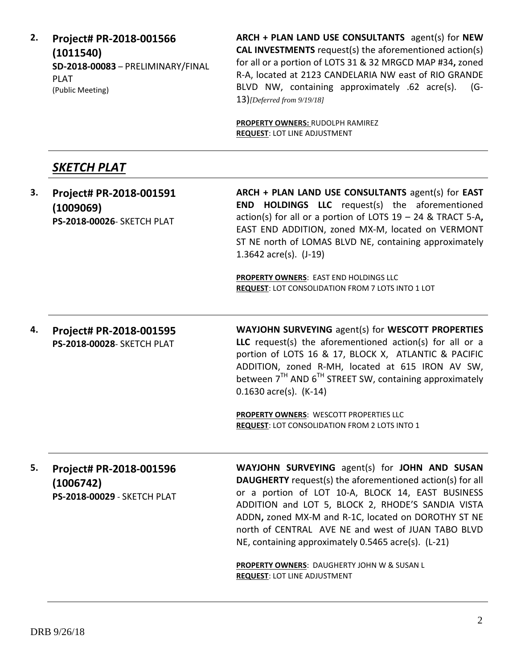**2. Project# PR-2018-001566 (1011540) SD-2018-00083** – PRELIMINARY/FINAL PLAT (Public Meeting) **ARCH + PLAN LAND USE CONSULTANTS** agent(s) for **NEW CAL INVESTMENTS** request(s) the aforementioned action(s) for all or a portion of LOTS 31 & 32 MRGCD MAP #34**,** zoned R-A, located at 2123 CANDELARIA NW east of RIO GRANDE BLVD NW, containing approximately .62 acre(s). (G-13)*[Deferred from 9/19/18]* **PROPERTY OWNERS:** RUDOLPH RAMIREZ **REQUEST**: LOT LINE ADJUSTMENT *SKETCH PLAT* **3. Project# PR-2018-001591 (1009069) PS-2018-00026**- SKETCH PLAT **ARCH + PLAN LAND USE CONSULTANTS** agent(s) for **EAST END HOLDINGS LLC** request(s) the aforementioned action(s) for all or a portion of LOTS 19 – 24 & TRACT 5-A**,**  EAST END ADDITION, zoned MX-M, located on VERMONT ST NE north of LOMAS BLVD NE, containing approximately 1.3642 acre(s). (J-19) **PROPERTY OWNERS**: EAST END HOLDINGS LLC **REQUEST**: LOT CONSOLIDATION FROM 7 LOTS INTO 1 LOT **4. Project# PR-2018-001595 PS-2018-00028**- SKETCH PLAT **WAYJOHN SURVEYING** agent(s) for **WESCOTT PROPERTIES LLC** request(s) the aforementioned action(s) for all or a portion of LOTS 16 & 17, BLOCK X, ATLANTIC & PACIFIC ADDITION, zoned R-MH, located at 615 IRON AV SW, between  $7<sup>TH</sup>$  AND  $6<sup>TH</sup>$  STREET SW, containing approximately 0.1630 acre(s). (K-14) **PROPERTY OWNERS**: WESCOTT PROPERTIES LLC **REQUEST**: LOT CONSOLIDATION FROM 2 LOTS INTO 1 **5. Project# PR-2018-001596 (1006742) PS-2018-00029** - SKETCH PLAT **WAYJOHN SURVEYING** agent(s) for **JOHN AND SUSAN DAUGHERTY** request(s) the aforementioned action(s) for all or a portion of LOT 10-A, BLOCK 14, EAST BUSINESS ADDITION and LOT 5, BLOCK 2, RHODE'S SANDIA VISTA ADDN**,** zoned MX-M and R-1C, located on DOROTHY ST NE north of CENTRAL AVE NE and west of JUAN TABO BLVD NE, containing approximately 0.5465 acre(s). (L-21) **PROPERTY OWNERS**: DAUGHERTY JOHN W & SUSAN L **REQUEST**: LOT LINE ADJUSTMENT